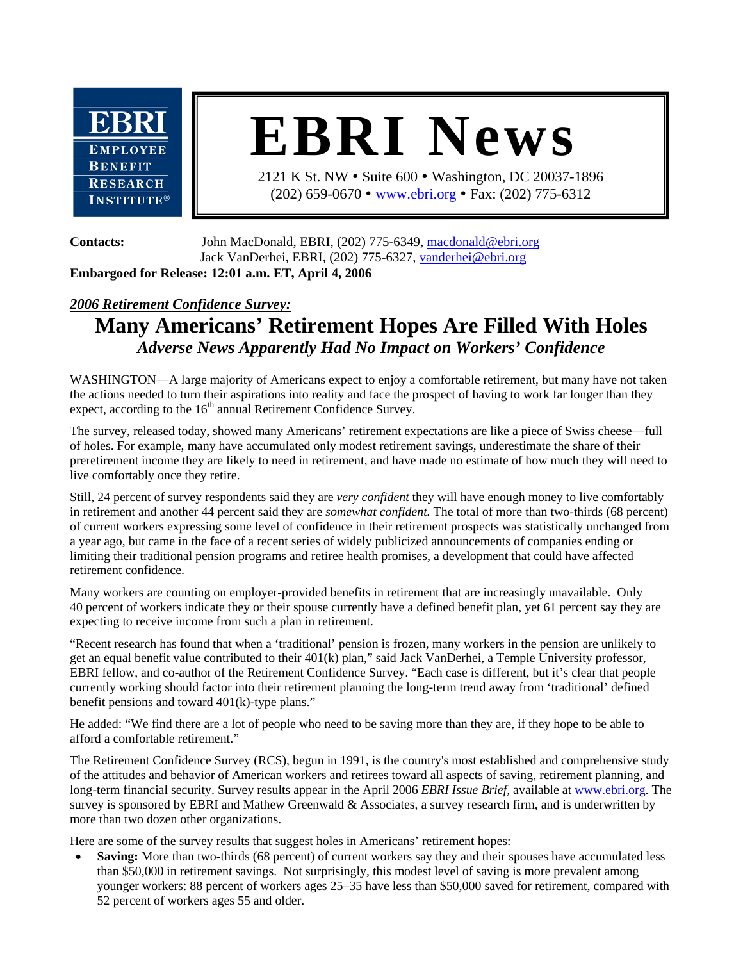

## **EBRI News**

2121 K St. NW • Suite 600 • Washington, DC 20037-1896 (202) 659-0670 • www.ebri.org • Fax: (202) 775-6312

**Contacts:** John MacDonald, EBRI, (202) 775-6349, macdonald@ebri.org Jack VanDerhei, EBRI, (202) 775-6327, vanderhei@ebri.org **Embargoed for Release: 12:01 a.m. ET, April 4, 2006** 

## *2006 Retirement Confidence Survey:*

## **Many Americans' Retirement Hopes Are Filled With Holes**  *Adverse News Apparently Had No Impact on Workers' Confidence*

WASHINGTON—A large majority of Americans expect to enjoy a comfortable retirement, but many have not taken the actions needed to turn their aspirations into reality and face the prospect of having to work far longer than they expect, according to the  $16<sup>th</sup>$  annual Retirement Confidence Survey.

The survey, released today, showed many Americans' retirement expectations are like a piece of Swiss cheese—full of holes. For example, many have accumulated only modest retirement savings, underestimate the share of their preretirement income they are likely to need in retirement, and have made no estimate of how much they will need to live comfortably once they retire.

Still, 24 percent of survey respondents said they are *very confident* they will have enough money to live comfortably in retirement and another 44 percent said they are *somewhat confident.* The total of more than two-thirds (68 percent) of current workers expressing some level of confidence in their retirement prospects was statistically unchanged from a year ago, but came in the face of a recent series of widely publicized announcements of companies ending or limiting their traditional pension programs and retiree health promises, a development that could have affected retirement confidence.

Many workers are counting on employer-provided benefits in retirement that are increasingly unavailable. Only 40 percent of workers indicate they or their spouse currently have a defined benefit plan, yet 61 percent say they are expecting to receive income from such a plan in retirement.

"Recent research has found that when a 'traditional' pension is frozen, many workers in the pension are unlikely to get an equal benefit value contributed to their 401(k) plan," said Jack VanDerhei, a Temple University professor, EBRI fellow, and co-author of the Retirement Confidence Survey. "Each case is different, but it's clear that people currently working should factor into their retirement planning the long-term trend away from 'traditional' defined benefit pensions and toward 401(k)-type plans."

He added: "We find there are a lot of people who need to be saving more than they are, if they hope to be able to afford a comfortable retirement."

The Retirement Confidence Survey (RCS), begun in 1991, is the country's most established and comprehensive study of the attitudes and behavior of American workers and retirees toward all aspects of saving, retirement planning, and long-term financial security. Survey results appear in the April 2006 *EBRI Issue Brief,* available at www.ebri.org. The survey is sponsored by EBRI and Mathew Greenwald & Associates, a survey research firm, and is underwritten by more than two dozen other organizations.

Here are some of the survey results that suggest holes in Americans' retirement hopes:

**Saving:** More than two-thirds (68 percent) of current workers say they and their spouses have accumulated less than \$50,000 in retirement savings. Not surprisingly, this modest level of saving is more prevalent among younger workers: 88 percent of workers ages 25–35 have less than \$50,000 saved for retirement, compared with 52 percent of workers ages 55 and older.